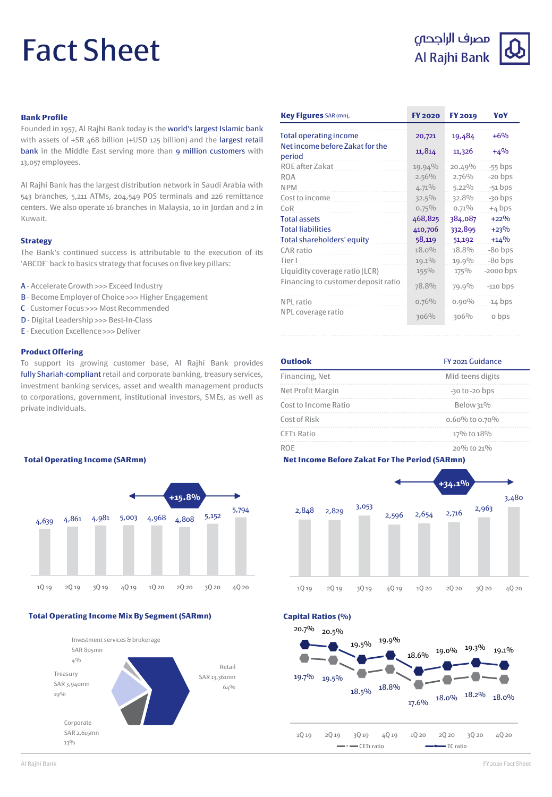# Fact Sheet

# مصرف الراجحى Al Rajhi Bank



#### **Bank Profile**

Founded in 1957, Al Rajhi Bank today is the world's largest Islamic bank with assets of +SR 468 billion (+USD 125 billion) and the largest retail bank in the Middle East serving more than 9 million customers with 13,057 employees.

Al Rajhi Bank has the largest distribution network in Saudi Arabia with 543 branches, 5,211 ATMs, 204,549 POS terminals and 226 remittance centers. We also operate 16 branches in Malaysia, 10 in Jordan and 2 in Kuwait.

#### **Strategy**

The Bank's continued success is attributable to the execution of its 'ABCDE' back to basics strategy that focuses on five key pillars:

- A Accelerate Growth >>> Exceed Industry
- B Become Employer of Choice >>> Higher Engagement
- C Customer Focus >>> Most Recommended
- D Digital Leadership >>> Best-In-Class

**Total Operating Income (SARmn)**

E - Execution Excellence >>>Deliver

#### **Product Offering**

To support its growing customer base, Al Rajhi Bank provides fully Shariah-compliant retail and corporate banking, treasury services, investment banking services, asset and wealth management products to corporations, government, institutional investors, SMEs, as well as private individuals.

| Key Figures SAR (mn),                     | <b>FY 2020</b> | <b>FY 2019</b> | YoY         |
|-------------------------------------------|----------------|----------------|-------------|
| Total operating income                    | 20,721         | 19,484         | $+6%$       |
| Net income before Zakat for the<br>period | 11,814         | 11,326         | $+4%$       |
| ROE after Zakat                           | 19.94%         | 20.49%         | $-55$ bps   |
| <b>ROA</b>                                | 2.56%          | 2.76%          | $-20$ bps   |
| <b>NPM</b>                                | $4.71\%$       | $5.22\%$       | $-51$ bps   |
| Cost to income                            | $32.5\%$       | 32.8%          | $-30$ bps   |
| CoR                                       | $0.75\%$       | $0.71\%$       | $+4$ bps    |
| <b>Total assets</b>                       | 468,825        | 384,087        | $+22%$      |
| <b>Total liabilities</b>                  | 410,706        | 332,895        | $+23%$      |
| Total shareholders' equity                | 58,119         | 51,192         | $+14%$      |
| CAR ratio                                 | 18.0%          | 18.8%          | $-80$ bps   |
| Tier I                                    | 19.1%          | 19.9%          | $-80$ bps   |
| Liquidity coverage ratio (LCR)            | 155%           | $175\%$        | $-2000$ bps |
| Financing to customer deposit ratio       | 78.8%          | 79.9%          | $-110$ bps  |
| NPL ratio                                 | $0.76\%$       | $0.90\%$       | $-14$ bps   |
| NPL coverage ratio                        | 306%           | 306%           | o bps       |

| <b>Outlook</b>         | FY 2021 Guidance   |  |  |
|------------------------|--------------------|--|--|
| Financing, Net         | Mid-teens digits   |  |  |
| Net Profit Margin      | $-30$ to $-20$ bps |  |  |
| Cost to Income Ratio   | Below 31%          |  |  |
| Cost of Risk           | $0.60\%$ to 0.70%  |  |  |
| CET <sub>1</sub> Ratio | 17% to 18%         |  |  |
|                        | $20\%$ to $21\%$   |  |  |

#### **Net Income Before Zakat For The Period (SARmn)**

18.5% 18.8%

1Q 19 2Q 19 3Q 19 4Q 19 1Q 20 2Q 20 3Q 20 4Q 20

 $\longrightarrow$  CET1 ratio  $\longrightarrow$  TC ratio

19.5% 19.9%

19.7% 19.5%

20.7% 20.5%

**Capital Ratios (%)**



**Total Operating Income Mix By Segment (SARmn)**

4,639 4,861 4,981 5,003 4,968 4,808 5,152

5,794

**+15.8%**



1Q 19 2Q 19 3Q 19 4Q 19 1Q 20 2Q 20 3Q 20 4Q 20

 $17.6\%$   $18.0\%$   $18.2\%$   $18.0\%$ 

 $18.6\%$   $19.0\%$   $19.3\%$   $19.1\%$